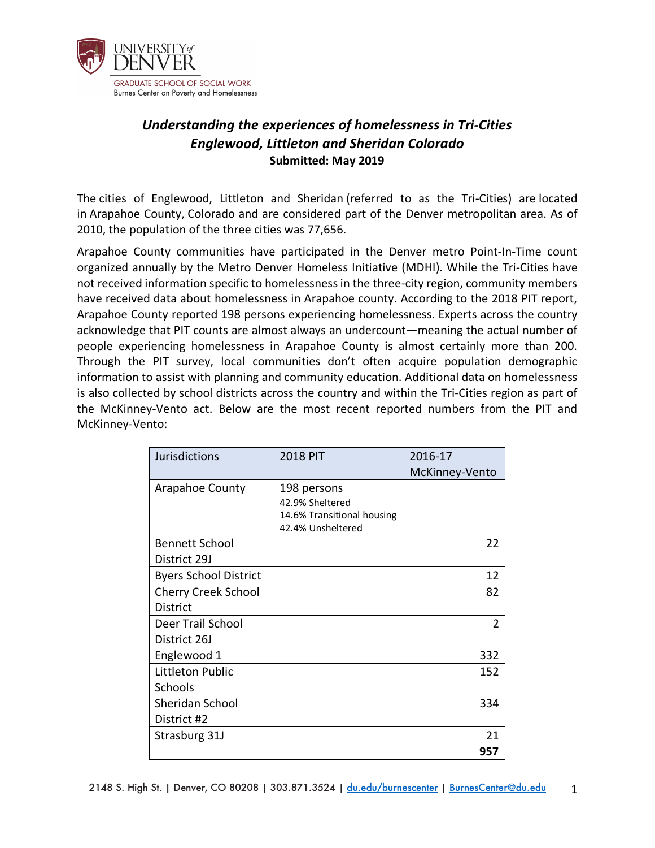

# *Understanding the experiences of homelessness in Tri-Cities Englewood, Littleton and Sheridan Colorado* **Submitted: May 2019**

The cities of Englewood, Littleton and Sheridan (referred to as the Tri-Cities) are located in Arapahoe County, Colorado and are considered part of the Denver metropolitan area. As of 2010, the population of the three cities was 77,656.

Arapahoe County communities have participated in the Denver metro Point-In-Time count organized annually by the Metro Denver Homeless Initiative (MDHI). While the Tri-Cities have not received information specific to homelessness in the three-city region, community members have received data about homelessness in Arapahoe county. According to the 2018 PIT report, Arapahoe County reported 198 persons experiencing homelessness. Experts across the country acknowledge that PIT counts are almost always an undercount—meaning the actual number of people experiencing homelessness in Arapahoe County is almost certainly more than 200. Through the PIT survey, local communities don't often acquire population demographic information to assist with planning and community education. Additional data on homelessness is also collected by school districts across the country and within the Tri-Cities region as part of the McKinney-Vento act. Below are the most recent reported numbers from the PIT and McKinney-Vento:

| <b>Jurisdictions</b>         | <b>2018 PIT</b>                                              | 2016-17        |
|------------------------------|--------------------------------------------------------------|----------------|
|                              |                                                              | McKinney-Vento |
| Arapahoe County              | 198 persons<br>42.9% Sheltered<br>14.6% Transitional housing |                |
| <b>Bennett School</b>        | 42.4% Unsheltered                                            | 22             |
| District 29J                 |                                                              |                |
| <b>Byers School District</b> |                                                              | 12             |
| <b>Cherry Creek School</b>   |                                                              | 82             |
| <b>District</b>              |                                                              |                |
| Deer Trail School            |                                                              | $\overline{2}$ |
| District 26J                 |                                                              |                |
| Englewood 1                  |                                                              | 332            |
| Littleton Public             |                                                              | 152            |
| Schools                      |                                                              |                |
| Sheridan School              |                                                              | 334            |
| District #2                  |                                                              |                |
| Strasburg 31J                |                                                              | 21             |
|                              |                                                              | 957            |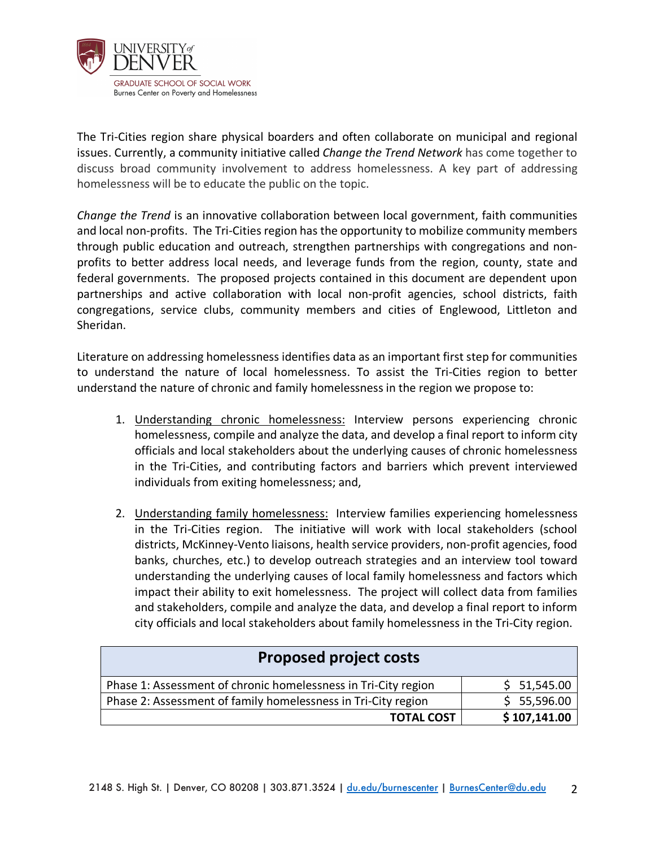

The Tri-Cities region share physical boarders and often collaborate on municipal and regional issues. Currently, a community initiative called *Change the Trend Network* has come together to discuss broad community involvement to address homelessness. A key part of addressing homelessness will be to educate the public on the topic.

*Change the Trend* is an innovative collaboration between local government, faith communities and local non-profits. The Tri-Cities region has the opportunity to mobilize community members through public education and outreach, strengthen partnerships with congregations and nonprofits to better address local needs, and leverage funds from the region, county, state and federal governments. The proposed projects contained in this document are dependent upon partnerships and active collaboration with local non-profit agencies, school districts, faith congregations, service clubs, community members and cities of Englewood, Littleton and Sheridan.

Literature on addressing homelessness identifies data as an important first step for communities to understand the nature of local homelessness. To assist the Tri-Cities region to better understand the nature of chronic and family homelessness in the region we propose to:

- 1. Understanding chronic homelessness: Interview persons experiencing chronic homelessness, compile and analyze the data, and develop a final report to inform city officials and local stakeholders about the underlying causes of chronic homelessness in the Tri-Cities, and contributing factors and barriers which prevent interviewed individuals from exiting homelessness; and,
- 2. Understanding family homelessness: Interview families experiencing homelessness in the Tri-Cities region. The initiative will work with local stakeholders (school districts, McKinney-Vento liaisons, health service providers, non-profit agencies, food banks, churches, etc.) to develop outreach strategies and an interview tool toward understanding the underlying causes of local family homelessness and factors which impact their ability to exit homelessness. The project will collect data from families and stakeholders, compile and analyze the data, and develop a final report to inform city officials and local stakeholders about family homelessness in the Tri-City region.

| <b>Proposed project costs</b>                                  |              |  |
|----------------------------------------------------------------|--------------|--|
| Phase 1: Assessment of chronic homelessness in Tri-City region | \$ 51,545.00 |  |
| Phase 2: Assessment of family homelessness in Tri-City region  | \$5,596.00   |  |
| <b>TOTAL COST</b>                                              | \$107,141.00 |  |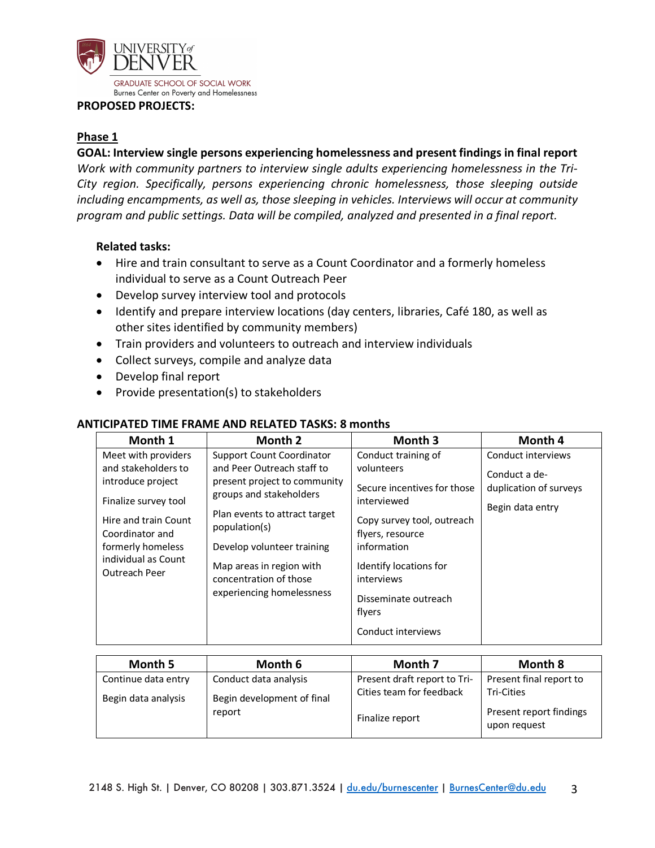

#### **PROPOSED PROJECTS:**

# **Phase 1**

### **GOAL: Interview single persons experiencing homelessness and present findings in final report**

*Work with community partners to interview single adults experiencing homelessness in the Tri-City region. Specifically, persons experiencing chronic homelessness, those sleeping outside including encampments, as well as, those sleeping in vehicles. Interviews will occur at community program and public settings. Data will be compiled, analyzed and presented in a final report.*

# **Related tasks:**

- Hire and train consultant to serve as a Count Coordinator and a formerly homeless individual to serve as a Count Outreach Peer
- Develop survey interview tool and protocols
- Identify and prepare interview locations (day centers, libraries, Café 180, as well as other sites identified by community members)
- Train providers and volunteers to outreach and interview individuals
- Collect surveys, compile and analyze data
- Develop final report
- Provide presentation(s) to stakeholders

#### **Month 1 Month 2 Month 3 Month 4** Meet with providers and stakeholders to introduce project Finalize survey tool Hire and train Count Coordinator and formerly homeless individual as Count Outreach Peer Support Count Coordinator and Peer Outreach staff to present project to community groups and stakeholders Plan events to attract target population(s) Develop volunteer training Map areas in region with concentration of those experiencing homelessness Conduct training of volunteers Secure incentives for those interviewed Copy survey tool, outreach flyers, resource information Identify locations for interviews Disseminate outreach flyers Conduct interviews Conduct interviews Conduct a deduplication of surveys Begin data entry

### **ANTICIPATED TIME FRAME AND RELATED TASKS: 8 months**

| Month 5             | Month 6                    | Month 7                      | <b>Month 8</b>                          |
|---------------------|----------------------------|------------------------------|-----------------------------------------|
| Continue data entry | Conduct data analysis      | Present draft report to Tri- | Present final report to                 |
| Begin data analysis | Begin development of final | Cities team for feedback     | Tri-Cities                              |
|                     | report                     | Finalize report              | Present report findings<br>upon request |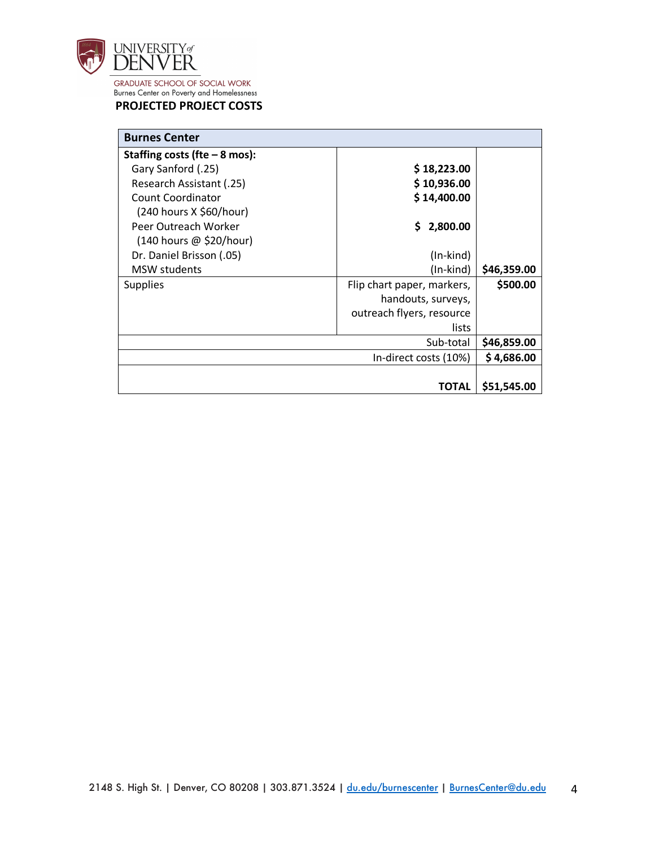

#### **PROJECTED PROJECT COSTS**

| <b>Burnes Center</b>           |                            |             |
|--------------------------------|----------------------------|-------------|
| Staffing costs (fte $-8$ mos): |                            |             |
| Gary Sanford (.25)             | \$18,223.00                |             |
| Research Assistant (.25)       | \$10,936.00                |             |
| Count Coordinator              | \$14,400.00                |             |
| (240 hours X \$60/hour)        |                            |             |
| Peer Outreach Worker           | 2,800.00<br>S.             |             |
| (140 hours @ \$20/hour)        |                            |             |
| Dr. Daniel Brisson (.05)       | $(In-kind)$                |             |
| <b>MSW</b> students            | (In-kind)                  | \$46,359.00 |
| <b>Supplies</b>                | Flip chart paper, markers, | \$500.00    |
|                                | handouts, surveys,         |             |
|                                | outreach flyers, resource  |             |
|                                | lists                      |             |
|                                | Sub-total                  | \$46,859.00 |
|                                | In-direct costs (10%)      | \$4,686.00  |
|                                |                            |             |
|                                | TOTAL                      | \$51,545.00 |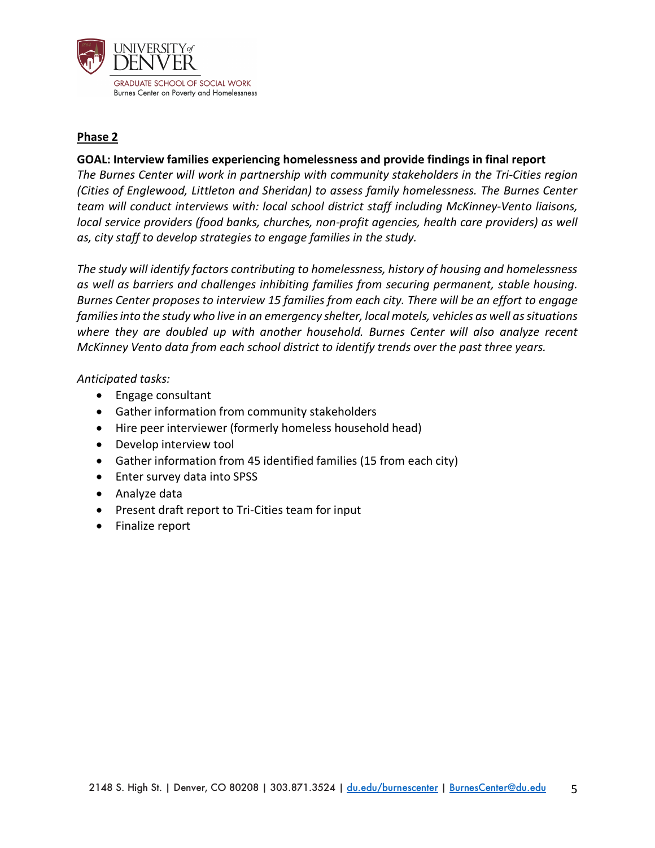

# **Phase 2**

# **GOAL: Interview families experiencing homelessness and provide findings in final report**

*The Burnes Center will work in partnership with community stakeholders in the Tri-Cities region (Cities of Englewood, Littleton and Sheridan) to assess family homelessness. The Burnes Center team will conduct interviews with: local school district staff including McKinney-Vento liaisons, local service providers (food banks, churches, non-profit agencies, health care providers) as well as, city staff to develop strategies to engage families in the study.*

*The study will identify factors contributing to homelessness, history of housing and homelessness as well as barriers and challenges inhibiting families from securing permanent, stable housing. Burnes Center proposes to interview 15 families from each city. There will be an effort to engage families into the study who live in an emergency shelter, local motels, vehicles as well as situations where they are doubled up with another household. Burnes Center will also analyze recent McKinney Vento data from each school district to identify trends over the past three years.* 

# *Anticipated tasks:*

- Engage consultant
- Gather information from community stakeholders
- Hire peer interviewer (formerly homeless household head)
- Develop interview tool
- Gather information from 45 identified families (15 from each city)
- Enter survey data into SPSS
- Analyze data
- Present draft report to Tri-Cities team for input
- Finalize report